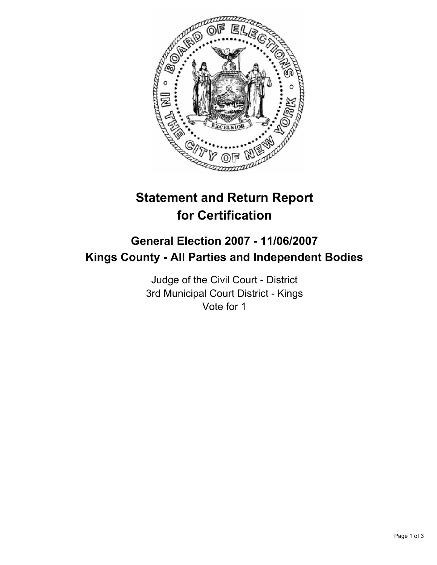

# **Statement and Return Report for Certification**

## **General Election 2007 - 11/06/2007 Kings County - All Parties and Independent Bodies**

Judge of the Civil Court - District 3rd Municipal Court District - Kings Vote for 1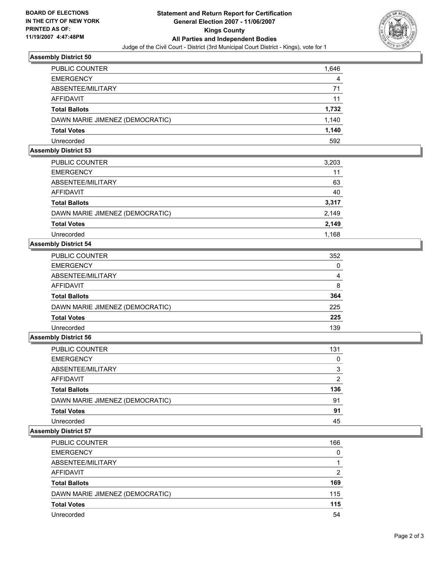

#### **Assembly District 50**

| PUBLIC COUNTER                  | 1,646 |
|---------------------------------|-------|
| <b>EMERGENCY</b>                | 4     |
| ABSENTEE/MILITARY               | 71    |
| <b>AFFIDAVIT</b>                | 11    |
| <b>Total Ballots</b>            | 1,732 |
| DAWN MARIE JIMENEZ (DEMOCRATIC) | 1,140 |
| <b>Total Votes</b>              | 1,140 |
| Unrecorded                      | 592   |

#### **Assembly District 53**

| <b>PUBLIC COUNTER</b>           | 3,203 |
|---------------------------------|-------|
| <b>EMERGENCY</b>                | 11    |
| ABSENTEE/MILITARY               | 63    |
| AFFIDAVIT                       | 40    |
| <b>Total Ballots</b>            | 3,317 |
| DAWN MARIE JIMENEZ (DEMOCRATIC) | 2,149 |
| <b>Total Votes</b>              | 2,149 |
| Unrecorded                      | 1,168 |

#### **Assembly District 54**

| 352 |
|-----|
|     |
|     |
| 8   |
| 364 |
| 225 |
| 225 |
| 139 |
|     |

### **Assembly District 56**

| PUBLIC COUNTER                  | 131 |
|---------------------------------|-----|
| <b>EMERGENCY</b>                |     |
| ABSENTEE/MILITARY               |     |
| AFFIDAVIT                       | ົ   |
| <b>Total Ballots</b>            | 136 |
| DAWN MARIE JIMENEZ (DEMOCRATIC) | 91  |
| <b>Total Votes</b>              | 91  |
| Unrecorded                      | 45  |

#### **Assembly District 57**

| <b>PUBLIC COUNTER</b>           | 166 |
|---------------------------------|-----|
| <b>EMERGENCY</b>                | C   |
| ABSENTEE/MILITARY               |     |
| AFFIDAVIT                       | ົ   |
| <b>Total Ballots</b>            | 169 |
| DAWN MARIE JIMENEZ (DEMOCRATIC) | 115 |
| <b>Total Votes</b>              | 115 |
| Unrecorded                      | 54  |